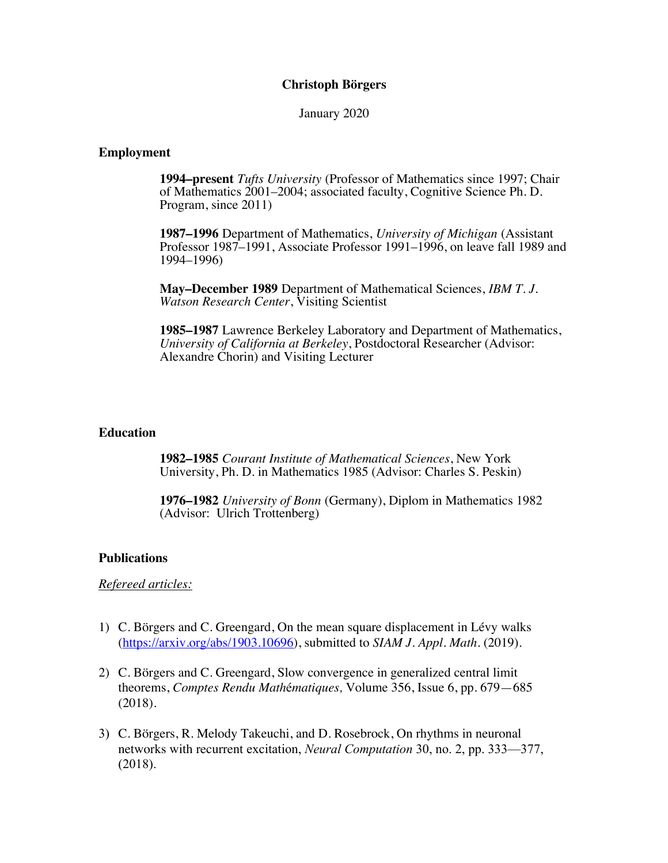# **Christoph Börgers**

January 2020

### **Employment**

**1994–present** *Tufts University* (Professor of Mathematics since 1997; Chair of Mathematics 2001–2004; associated faculty, Cognitive Science Ph. D. Program, since 2011)

**1987–1996** Department of Mathematics, *University of Michigan* (Assistant Professor 1987–1991, Associate Professor 1991–1996, on leave fall 1989 and 1994–1996)

**May–December 1989** Department of Mathematical Sciences, *IBM T. J. Watson Research Center*, Visiting Scientist

**1985–1987** Lawrence Berkeley Laboratory and Department of Mathematics, *University of California at Berkeley*, Postdoctoral Researcher (Advisor: Alexandre Chorin) and Visiting Lecturer

### **Education**

**1982–1985** *Courant Institute of Mathematical Sciences*, New York University, Ph. D. in Mathematics 1985 (Advisor: Charles S. Peskin)

**1976–1982** *University of Bonn* (Germany), Diplom in Mathematics 1982 (Advisor: Ulrich Trottenberg)

#### **Publications**

*Refereed articles:*

- 1) C. Börgers and C. Greengard, On the mean square displacement in Lévy walks (https://arxiv.org/abs/1903.10696), submitted to *SIAM J. Appl. Math*. (2019).
- 2) C. Börgers and C. Greengard, Slow convergence in generalized central limit theorems, *Comptes Rendu Math*é*matiques,* Volume 356, Issue 6, pp. 679—685 (2018).
- 3) C. Börgers, R. Melody Takeuchi, and D. Rosebrock, On rhythms in neuronal networks with recurrent excitation, *Neural Computation* 30, no. 2, pp. 333—377, (2018).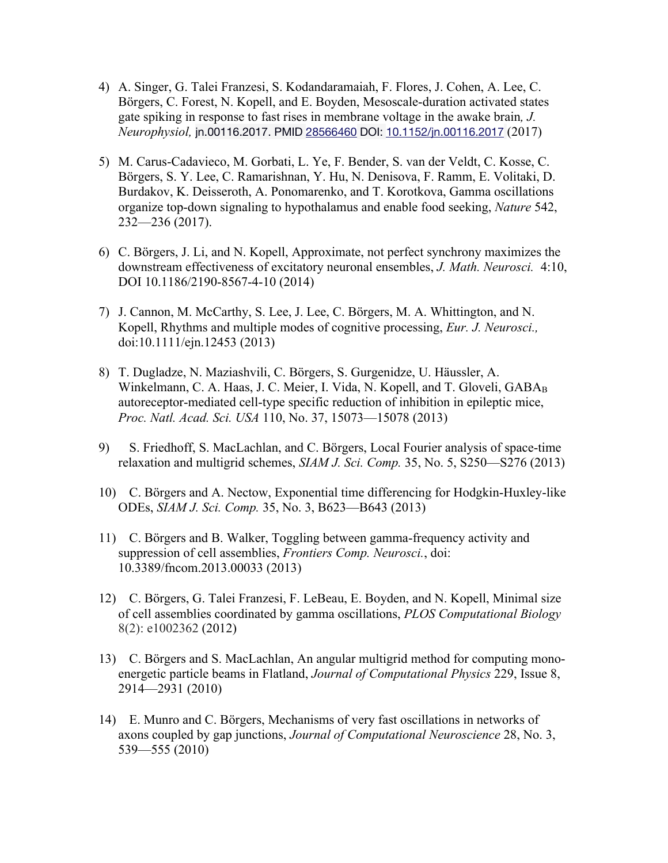- 4) A. Singer, G. Talei Franzesi, S. Kodandaramaiah, F. Flores, J. Cohen, A. Lee, C. Börgers, C. Forest, N. Kopell, and E. Boyden, Mesoscale-duration activated states gate spiking in response to fast rises in membrane voltage in the awake brain*, J. Neurophysiol,* jn.00116.2017. PMID 28566460 DOI: 10.1152/jn.00116.2017 (2017)
- 5) M. Carus-Cadavieco, M. Gorbati, L. Ye, F. Bender, S. van der Veldt, C. Kosse, C. Börgers, S. Y. Lee, C. Ramarishnan, Y. Hu, N. Denisova, F. Ramm, E. Volitaki, D. Burdakov, K. Deisseroth, A. Ponomarenko, and T. Korotkova, Gamma oscillations organize top-down signaling to hypothalamus and enable food seeking, *Nature* 542, 232—236 (2017).
- 6) C. Börgers, J. Li, and N. Kopell, Approximate, not perfect synchrony maximizes the downstream effectiveness of excitatory neuronal ensembles, *J. Math. Neurosci.* 4:10, DOI 10.1186/2190-8567-4-10 (2014)
- 7) J. Cannon, M. McCarthy, S. Lee, J. Lee, C. Börgers, M. A. Whittington, and N. Kopell, Rhythms and multiple modes of cognitive processing, *Eur. J. Neurosci.,*  doi:10.1111/ejn.12453 (2013)
- 8) T. Dugladze, N. Maziashvili, C. Börgers, S. Gurgenidze, U. Häussler, A. Winkelmann, C. A. Haas, J. C. Meier, I. Vida, N. Kopell, and T. Gloveli, GABAB autoreceptor-mediated cell-type specific reduction of inhibition in epileptic mice, *Proc. Natl. Acad. Sci. USA* 110, No. 37, 15073—15078 (2013)
- 9) S. Friedhoff, S. MacLachlan, and C. Börgers, Local Fourier analysis of space-time relaxation and multigrid schemes, *SIAM J. Sci. Comp.* 35, No. 5, S250—S276 (2013)
- 10) C. Börgers and A. Nectow, Exponential time differencing for Hodgkin-Huxley-like ODEs, *SIAM J. Sci. Comp.* 35, No. 3, B623—B643 (2013)
- 11) C. Börgers and B. Walker, Toggling between gamma-frequency activity and suppression of cell assemblies, *Frontiers Comp. Neurosci.*, doi: 10.3389/fncom.2013.00033 (2013)
- 12) C. Börgers, G. Talei Franzesi, F. LeBeau, E. Boyden, and N. Kopell, Minimal size of cell assemblies coordinated by gamma oscillations, *PLOS Computational Biology* 8(2): e1002362 (2012)
- 13) C. Börgers and S. MacLachlan, An angular multigrid method for computing monoenergetic particle beams in Flatland, *Journal of Computational Physics* 229, Issue 8, 2914—2931 (2010)
- 14) E. Munro and C. Börgers, Mechanisms of very fast oscillations in networks of axons coupled by gap junctions, *Journal of Computational Neuroscience* 28, No. 3, 539—555 (2010)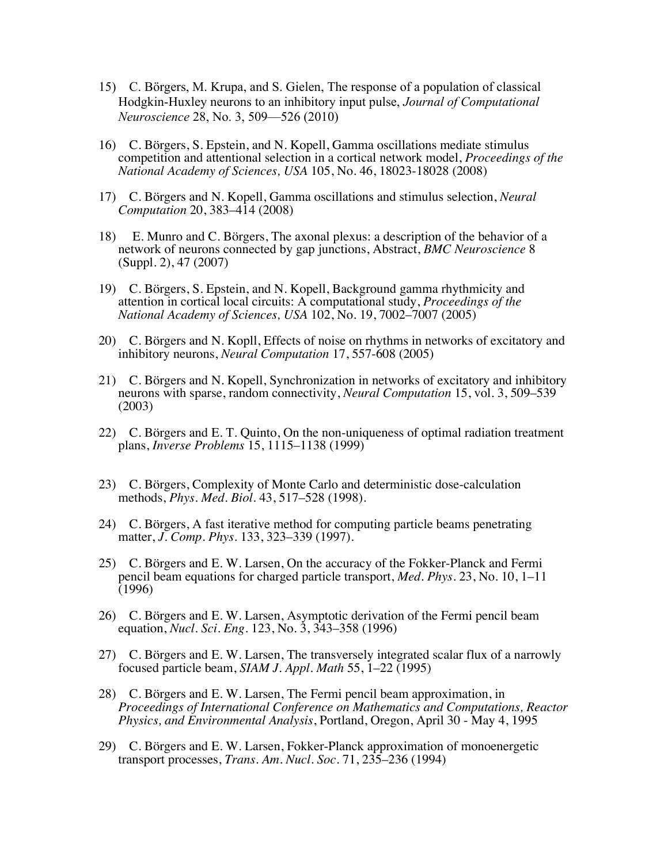- 15) C. Börgers, M. Krupa, and S. Gielen, The response of a population of classical Hodgkin-Huxley neurons to an inhibitory input pulse, *Journal of Computational Neuroscience* 28, No. 3, 509—526 (2010)
- 16) C. Börgers, S. Epstein, and N. Kopell, Gamma oscillations mediate stimulus competition and attentional selection in a cortical network model, *Proceedings of the National Academy of Sciences, USA* 105, No. 46, 18023-18028 (2008)
- 17) C. Börgers and N. Kopell, Gamma oscillations and stimulus selection, *Neural Computation* 20, 383–414 (2008)
- 18) E. Munro and C. Börgers, The axonal plexus: a description of the behavior of a network of neurons connected by gap junctions, Abstract, *BMC Neuroscience* 8 (Suppl. 2), 47 (2007)
- 19) C. Börgers, S. Epstein, and N. Kopell, Background gamma rhythmicity and attention in cortical local circuits: A computational study, *Proceedings of the National Academy of Sciences, USA* 102, No. 19, 7002–7007 (2005)
- 20) C. Börgers and N. Kopll, Effects of noise on rhythms in networks of excitatory and inhibitory neurons, *Neural Computation* 17, 557-608 (2005)
- 21) C. Börgers and N. Kopell, Synchronization in networks of excitatory and inhibitory neurons with sparse, random connectivity, *Neural Computation* 15, vol. 3, 509–539 (2003)
- 22) C. Börgers and E. T. Quinto, On the non-uniqueness of optimal radiation treatment plans, *Inverse Problems* 15, 1115–1138 (1999)
- 23) C. Börgers, Complexity of Monte Carlo and deterministic dose-calculation methods, *Phys. Med. Biol.* 43, 517–528 (1998).
- 24) C. Börgers, A fast iterative method for computing particle beams penetrating matter, *J. Comp. Phys.* 133, 323–339 (1997).
- 25) C. Börgers and E. W. Larsen, On the accuracy of the Fokker-Planck and Fermi pencil beam equations for charged particle transport, *Med. Phys.* 23, No. 10, 1–11 (1996)
- 26) C. Börgers and E. W. Larsen, Asymptotic derivation of the Fermi pencil beam equation, *Nucl. Sci. Eng.* 123, No. 3, 343–358 (1996)
- 27) C. Börgers and E. W. Larsen, The transversely integrated scalar flux of a narrowly focused particle beam, *SIAM J. Appl. Math* 55, 1–22 (1995)
- 28) C. Börgers and E. W. Larsen, The Fermi pencil beam approximation, in *Proceedings of International Conference on Mathematics and Computations, Reactor Physics, and Environmental Analysis*, Portland, Oregon, April 30 - May 4, 1995
- 29) C. Börgers and E. W. Larsen, Fokker-Planck approximation of monoenergetic transport processes, *Trans. Am. Nucl. Soc.* 71, 235–236 (1994)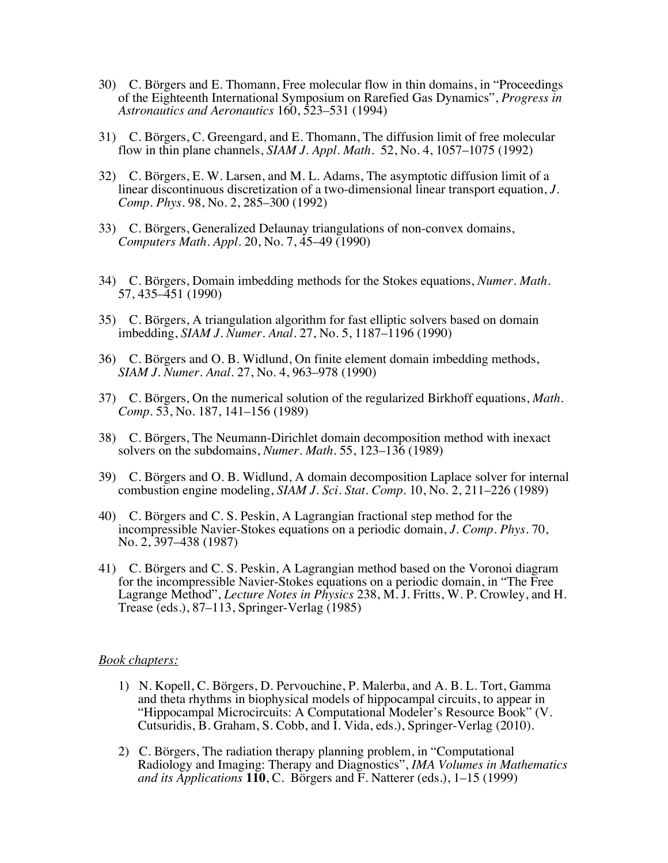- 30) C. Börgers and E. Thomann, Free molecular flow in thin domains, in "Proceedings of the Eighteenth International Symposium on Rarefied Gas Dynamics", *Progress in Astronautics and Aeronautics* 160, 523–531 (1994)
- 31) C. Börgers, C. Greengard, and E. Thomann, The diffusion limit of free molecular flow in thin plane channels, *SIAM J. Appl. Math.* 52, No. 4, 1057–1075 (1992)
- 32) C. Börgers, E. W. Larsen, and M. L. Adams, The asymptotic diffusion limit of a linear discontinuous discretization of a two-dimensional linear transport equation, *J. Comp. Phys.* 98, No. 2, 285–300 (1992)
- 33) C. Börgers, Generalized Delaunay triangulations of non-convex domains, *Computers Math. Appl.* 20, No. 7, 45–49 (1990)
- 34) C. Börgers, Domain imbedding methods for the Stokes equations, *Numer. Math.* 57, 435–451 (1990)
- 35) C. Börgers, A triangulation algorithm for fast elliptic solvers based on domain imbedding, *SIAM J. Numer. Anal.* 27, No. 5, 1187–1196 (1990)
- 36) C. Börgers and O. B. Widlund, On finite element domain imbedding methods, *SIAM J. Numer. Anal.* 27, No. 4, 963–978 (1990)
- 37) C. Börgers, On the numerical solution of the regularized Birkhoff equations, *Math. Comp.* 53, No. 187, 141–156 (1989)
- 38) C. Börgers, The Neumann-Dirichlet domain decomposition method with inexact solvers on the subdomains, *Numer. Math.* 55, 123–136 (1989)
- 39) C. Börgers and O. B. Widlund, A domain decomposition Laplace solver for internal combustion engine modeling, *SIAM J. Sci. Stat. Comp.* 10, No. 2, 211–226 (1989)
- 40) C. Börgers and C. S. Peskin, A Lagrangian fractional step method for the incompressible Navier-Stokes equations on a periodic domain, *J. Comp. Phys.* 70, No. 2, 397–438 (1987)
- 41) C. Börgers and C. S. Peskin, A Lagrangian method based on the Voronoi diagram for the incompressible Navier-Stokes equations on a periodic domain, in "The Free Lagrange Method", *Lecture Notes in Physics* 238, M. J. Fritts, W. P. Crowley, and H. Trease (eds.), 87–113, Springer-Verlag (1985)

#### *Book chapters:*

- 1) N. Kopell, C. Börgers, D. Pervouchine, P. Malerba, and A. B. L. Tort, Gamma and theta rhythms in biophysical models of hippocampal circuits, to appear in "Hippocampal Microcircuits: A Computational Modeler's Resource Book" (V. Cutsuridis, B. Graham, S. Cobb, and I. Vida, eds.), Springer-Verlag (2010).
- 2) C. Börgers, The radiation therapy planning problem, in "Computational Radiology and Imaging: Therapy and Diagnostics", *IMA Volumes in Mathematics and its Applications* **110**, C. Börgers and F. Natterer (eds.), 1–15 (1999)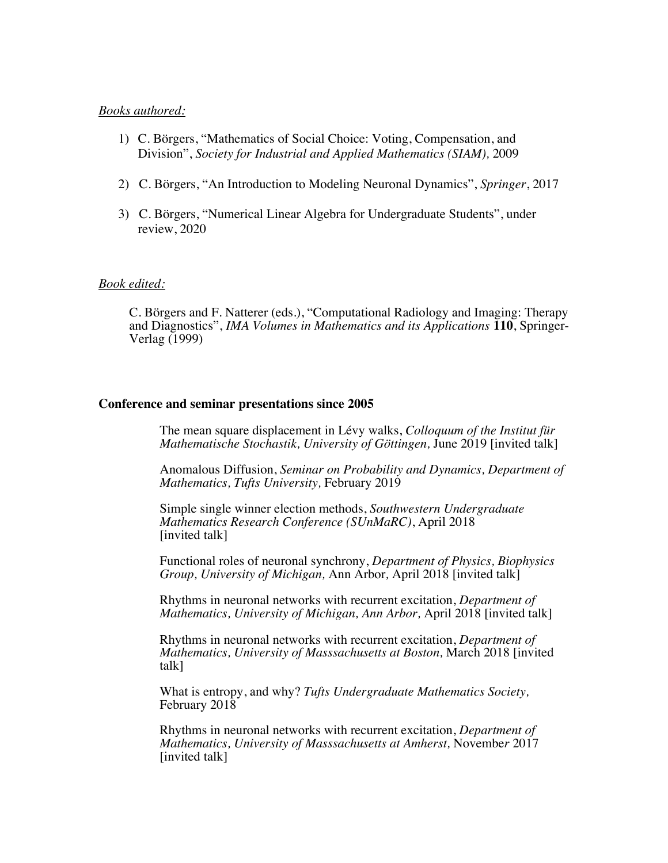### *Books authored:*

- 1) C. Börgers, "Mathematics of Social Choice: Voting, Compensation, and Division", *Society for Industrial and Applied Mathematics (SIAM),* 2009
- 2) C. Börgers, "An Introduction to Modeling Neuronal Dynamics", *Springer*, 2017
- 3) C. Börgers, "Numerical Linear Algebra for Undergraduate Students", under review, 2020

### *Book edited:*

C. Börgers and F. Natterer (eds.), "Computational Radiology and Imaging: Therapy and Diagnostics", *IMA Volumes in Mathematics and its Applications* **110**, Springer-Verlag (1999)

### **Conference and seminar presentations since 2005**

The mean square displacement in Lévy walks, *Colloquum of the Institut für Mathematische Stochastik, University of Göttingen,* June 2019 [invited talk]

Anomalous Diffusion, *Seminar on Probability and Dynamics, Department of Mathematics, Tufts University,* February 2019

Simple single winner election methods, *Southwestern Undergraduate Mathematics Research Conference (SUnMaRC)*, April 2018 [invited talk]

Functional roles of neuronal synchrony, *Department of Physics, Biophysics Group, University of Michigan,* Ann Arbor*,* April 2018 [invited talk]

Rhythms in neuronal networks with recurrent excitation, *Department of Mathematics, University of Michigan, Ann Arbor,* April 2018 [invited talk]

Rhythms in neuronal networks with recurrent excitation, *Department of Mathematics, University of Masssachusetts at Boston,* March 2018 [invited talk]

What is entropy, and why? *Tufts Undergraduate Mathematics Society,*  February 2018

Rhythms in neuronal networks with recurrent excitation, *Department of Mathematics, University of Masssachusetts at Amherst,* Novembe*r* 2017 [invited talk]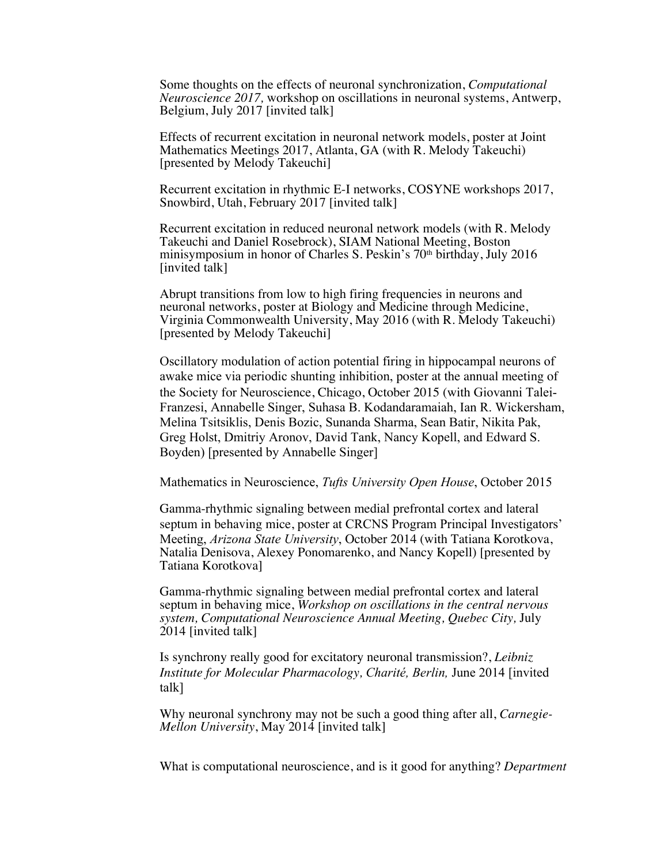Some thoughts on the effects of neuronal synchronization, *Computational Neuroscience 2017,* workshop on oscillations in neuronal systems, Antwerp, Belgium, July 2017 [invited talk]

Effects of recurrent excitation in neuronal network models, poster at Joint Mathematics Meetings 2017, Atlanta, GA (with R. Melody Takeuchi) [presented by Melody Takeuchi]

Recurrent excitation in rhythmic E-I networks, COSYNE workshops 2017, Snowbird, Utah, February 2017 [invited talk]

Recurrent excitation in reduced neuronal network models (with R. Melody Takeuchi and Daniel Rosebrock), SIAM National Meeting, Boston minisymposium in honor of Charles S. Peskin's 70th birthday, July 2016 [invited talk]

Abrupt transitions from low to high firing frequencies in neurons and neuronal networks, poster at Biology and Medicine through Medicine. Virginia Commonwealth University, May 2016 (with R. Melody Takeuchi) [presented by Melody Takeuchi]

Oscillatory modulation of action potential firing in hippocampal neurons of awake mice via periodic shunting inhibition, poster at the annual meeting of the Society for Neuroscience, Chicago, October 2015 (with Giovanni Talei-Franzesi, Annabelle Singer, Suhasa B. Kodandaramaiah, Ian R. Wickersham, Melina Tsitsiklis, Denis Bozic, Sunanda Sharma, Sean Batir, Nikita Pak, Greg Holst, Dmitriy Aronov, David Tank, Nancy Kopell, and Edward S. Boyden) [presented by Annabelle Singer]

Mathematics in Neuroscience, *Tufts University Open House*, October 2015

Gamma-rhythmic signaling between medial prefrontal cortex and lateral septum in behaving mice, poster at CRCNS Program Principal Investigators' Meeting, *Arizona State University*, October 2014 (with Tatiana Korotkova, Natalia Denisova, Alexey Ponomarenko, and Nancy Kopell) [presented by Tatiana Korotkova]

Gamma-rhythmic signaling between medial prefrontal cortex and lateral septum in behaving mice, *Workshop on oscillations in the central nervous system, Computational Neuroscience Annual Meeting, Quebec City,* July 2014 [invited talk]

Is synchrony really good for excitatory neuronal transmission?, *Leibniz Institute for Molecular Pharmacology, Charité, Berlin,* June 2014 [invited talk]

Why neuronal synchrony may not be such a good thing after all, *Carnegie-Mellon University*, May 2014 [invited talk]

What is computational neuroscience, and is it good for anything? *Department*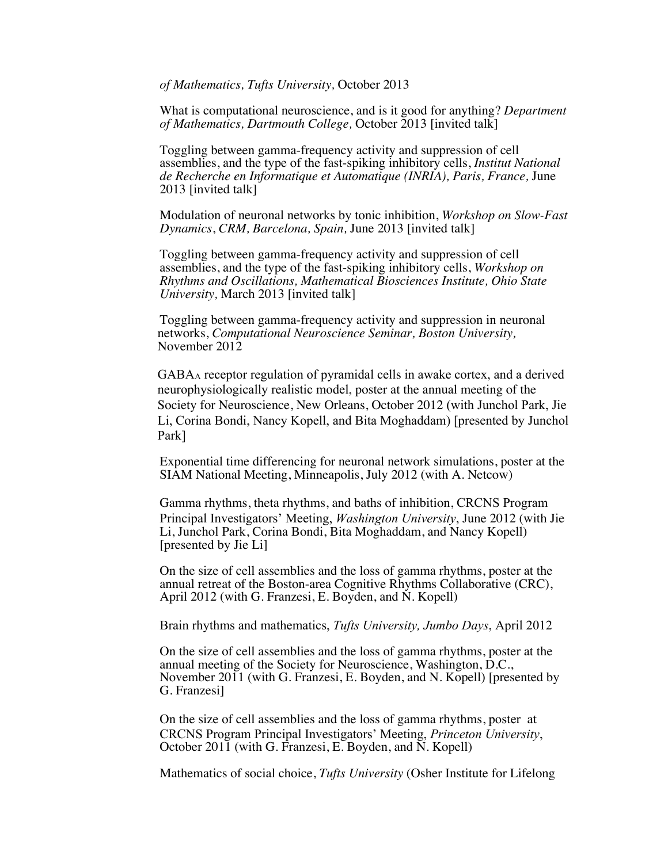*of Mathematics, Tufts University,* October 2013

What is computational neuroscience, and is it good for anything? *Department of Mathematics, Dartmouth College,* October 2013 [invited talk]

Toggling between gamma-frequency activity and suppression of cell assemblies, and the type of the fast-spiking inhibitory cells, *Institut National de Recherche en Informatique et Automatique (INRIA), Paris, France,* June 2013 [invited talk]

Modulation of neuronal networks by tonic inhibition, *Workshop on Slow-Fast Dynamics*, *CRM, Barcelona, Spain,* June 2013 [invited talk]

Toggling between gamma-frequency activity and suppression of cell assemblies, and the type of the fast-spiking inhibitory cells, *Workshop on Rhythms and Oscillations, Mathematical Biosciences Institute, Ohio State University,* March 2013 [invited talk]

Toggling between gamma-frequency activity and suppression in neuronal networks, *Computational Neuroscience Seminar, Boston University,* November 2012

GABAA receptor regulation of pyramidal cells in awake cortex, and a derived neurophysiologically realistic model, poster at the annual meeting of the Society for Neuroscience, New Orleans, October 2012 (with Junchol Park, Jie Li, Corina Bondi, Nancy Kopell, and Bita Moghaddam) [presented by Junchol Park]

Exponential time differencing for neuronal network simulations, poster at the SIAM National Meeting, Minneapolis, July 2012 (with A. Netcow)

Gamma rhythms, theta rhythms, and baths of inhibition, CRCNS Program Principal Investigators' Meeting, *Washington University*, June 2012 (with Jie Li, Junchol Park, Corina Bondi, Bita Moghaddam, and Nancy Kopell) [presented by Jie Li]

On the size of cell assemblies and the loss of gamma rhythms, poster at the annual retreat of the Boston-area Cognitive Rhythms Collaborative (CRC), April 2012 (with G. Franzesi, E. Boyden, and N. Kopell)

Brain rhythms and mathematics, *Tufts University, Jumbo Days*, April 2012

On the size of cell assemblies and the loss of gamma rhythms, poster at the annual meeting of the Society for Neuroscience, Washington, D.C., November 2011 (with G. Franzesi, E. Boyden, and N. Kopell) [presented by G. Franzesi]

On the size of cell assemblies and the loss of gamma rhythms, poster at CRCNS Program Principal Investigators' Meeting, *Princeton University*, October 2011 (with G. Franzesi, E. Boyden, and N. Kopell)

Mathematics of social choice, *Tufts University* (Osher Institute for Lifelong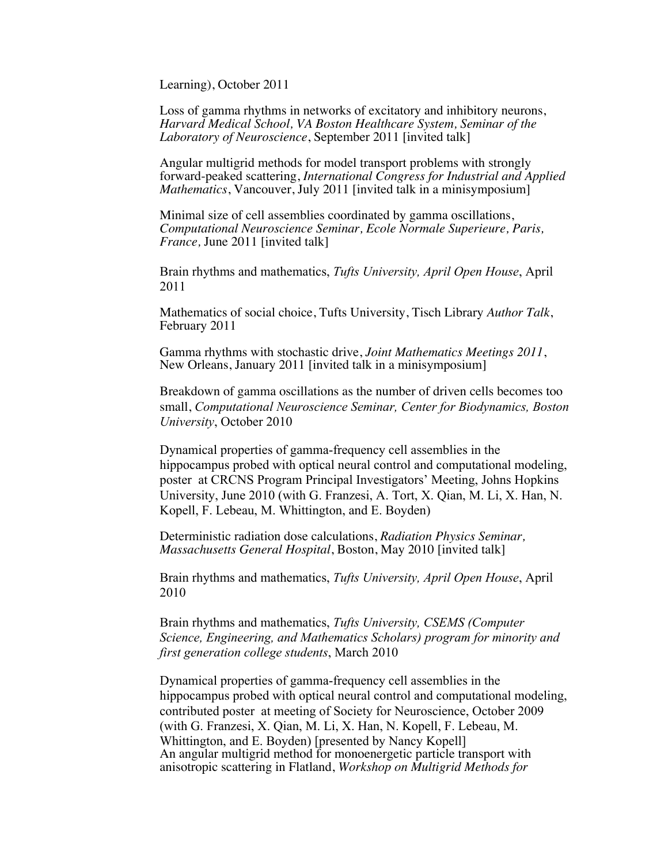Learning), October 2011

Loss of gamma rhythms in networks of excitatory and inhibitory neurons, *Harvard Medical School, VA Boston Healthcare System, Seminar of the Laboratory of Neuroscience*, September 2011 [invited talk]

Angular multigrid methods for model transport problems with strongly forward-peaked scattering, *International Congress for Industrial and Applied Mathematics*, Vancouver, July 2011 [invited talk in a minisymposium]

Minimal size of cell assemblies coordinated by gamma oscillations, *Computational Neuroscience Seminar, Ecole Normale Superieure, Paris, France,* June 2011 [invited talk]

Brain rhythms and mathematics, *Tufts University, April Open House*, April 2011

Mathematics of social choice, Tufts University, Tisch Library *Author Talk*, February 2011

Gamma rhythms with stochastic drive, *Joint Mathematics Meetings 2011*, New Orleans, January 2011 [invited talk in a minisymposium]

Breakdown of gamma oscillations as the number of driven cells becomes too small, *Computational Neuroscience Seminar, Center for Biodynamics, Boston University*, October 2010

Dynamical properties of gamma-frequency cell assemblies in the hippocampus probed with optical neural control and computational modeling, poster at CRCNS Program Principal Investigators' Meeting, Johns Hopkins University, June 2010 (with G. Franzesi, A. Tort, X. Qian, M. Li, X. Han, N. Kopell, F. Lebeau, M. Whittington, and E. Boyden)

Deterministic radiation dose calculations, *Radiation Physics Seminar, Massachusetts General Hospital*, Boston, May 2010 [invited talk]

Brain rhythms and mathematics, *Tufts University, April Open House*, April 2010

Brain rhythms and mathematics, *Tufts University, CSEMS (Computer Science, Engineering, and Mathematics Scholars) program for minority and first generation college students*, March 2010

Dynamical properties of gamma-frequency cell assemblies in the hippocampus probed with optical neural control and computational modeling, contributed poster at meeting of Society for Neuroscience, October 2009 (with G. Franzesi, X. Qian, M. Li, X. Han, N. Kopell, F. Lebeau, M. Whittington, and E. Boyden) [presented by Nancy Kopell] An angular multigrid method for monoenergetic particle transport with anisotropic scattering in Flatland, *Workshop on Multigrid Methods for*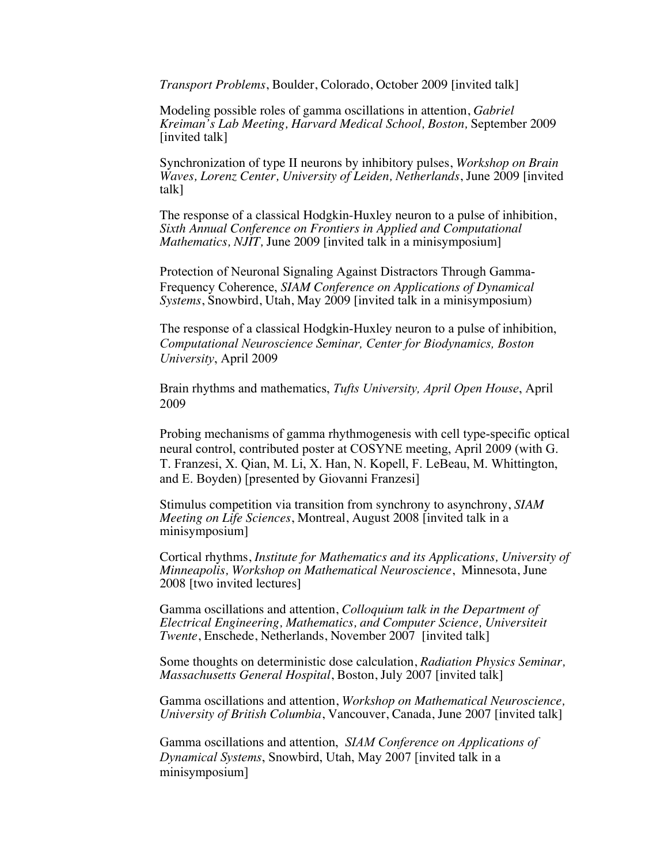*Transport Problems*, Boulder, Colorado, October 2009 [invited talk]

Modeling possible roles of gamma oscillations in attention, *Gabriel Kreiman's Lab Meeting, Harvard Medical School, Boston,* September 2009 [invited talk]

Synchronization of type II neurons by inhibitory pulses, *Workshop on Brain Waves, Lorenz Center, University of Leiden, Netherlands*, June 2009 [invited talk]

The response of a classical Hodgkin-Huxley neuron to a pulse of inhibition, *Sixth Annual Conference on Frontiers in Applied and Computational Mathematics, NJIT, June 2009* [invited talk in a minisymposium]

Protection of Neuronal Signaling Against Distractors Through Gamma-Frequency Coherence, *SIAM Conference on Applications of Dynamical Systems*, Snowbird, Utah, May 2009 [invited talk in a minisymposium)

The response of a classical Hodgkin-Huxley neuron to a pulse of inhibition, *Computational Neuroscience Seminar, Center for Biodynamics, Boston University*, April 2009

Brain rhythms and mathematics, *Tufts University, April Open House*, April 2009

Probing mechanisms of gamma rhythmogenesis with cell type-specific optical neural control, contributed poster at COSYNE meeting, April 2009 (with G. T. Franzesi, X. Qian, M. Li, X. Han, N. Kopell, F. LeBeau, M. Whittington, and E. Boyden) [presented by Giovanni Franzesi]

Stimulus competition via transition from synchrony to asynchrony, *SIAM Meeting on Life Sciences*, Montreal, August 2008 [invited talk in a minisymposium]

Cortical rhythms, *Institute for Mathematics and its Applications, University of Minneapolis, Workshop on Mathematical Neuroscience*, Minnesota, June 2008 [two invited lectures]

Gamma oscillations and attention, *Colloquium talk in the Department of Electrical Engineering, Mathematics, and Computer Science, Universiteit Twente*, Enschede, Netherlands, November 2007 [invited talk]

Some thoughts on deterministic dose calculation, *Radiation Physics Seminar, Massachusetts General Hospital*, Boston, July 2007 [invited talk]

Gamma oscillations and attention, *Workshop on Mathematical Neuroscience, University of British Columbia*, Vancouver, Canada, June 2007 [invited talk]

Gamma oscillations and attention, *SIAM Conference on Applications of Dynamical Systems*, Snowbird, Utah, May 2007 [invited talk in a minisymposium]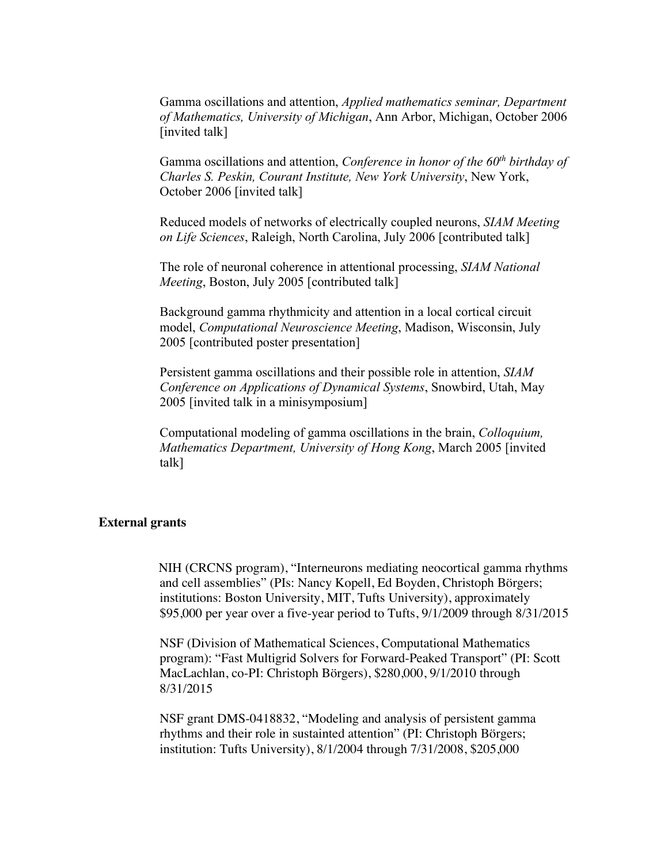Gamma oscillations and attention, *Applied mathematics seminar, Department of Mathematics, University of Michigan*, Ann Arbor, Michigan, October 2006 [invited talk]

Gamma oscillations and attention, *Conference in honor of the 60th birthday of Charles S. Peskin, Courant Institute, New York University*, New York, October 2006 [invited talk]

Reduced models of networks of electrically coupled neurons, *SIAM Meeting on Life Sciences*, Raleigh, North Carolina, July 2006 [contributed talk]

The role of neuronal coherence in attentional processing, *SIAM National Meeting*, Boston, July 2005 [contributed talk]

Background gamma rhythmicity and attention in a local cortical circuit model, *Computational Neuroscience Meeting*, Madison, Wisconsin, July 2005 [contributed poster presentation]

Persistent gamma oscillations and their possible role in attention, *SIAM Conference on Applications of Dynamical Systems*, Snowbird, Utah, May 2005 [invited talk in a minisymposium]

Computational modeling of gamma oscillations in the brain, *Colloquium, Mathematics Department, University of Hong Kong*, March 2005 [invited talk]

# **External grants**

NIH (CRCNS program), "Interneurons mediating neocortical gamma rhythms and cell assemblies" (PIs: Nancy Kopell, Ed Boyden, Christoph Börgers; institutions: Boston University, MIT, Tufts University), approximately \$95,000 per year over a five-year period to Tufts, 9/1/2009 through 8/31/2015

NSF (Division of Mathematical Sciences, Computational Mathematics program): "Fast Multigrid Solvers for Forward-Peaked Transport" (PI: Scott MacLachlan, co-PI: Christoph Börgers), \$280,000, 9/1/2010 through 8/31/2015

NSF grant DMS-0418832, "Modeling and analysis of persistent gamma rhythms and their role in sustainted attention" (PI: Christoph Börgers; institution: Tufts University), 8/1/2004 through 7/31/2008, \$205,000